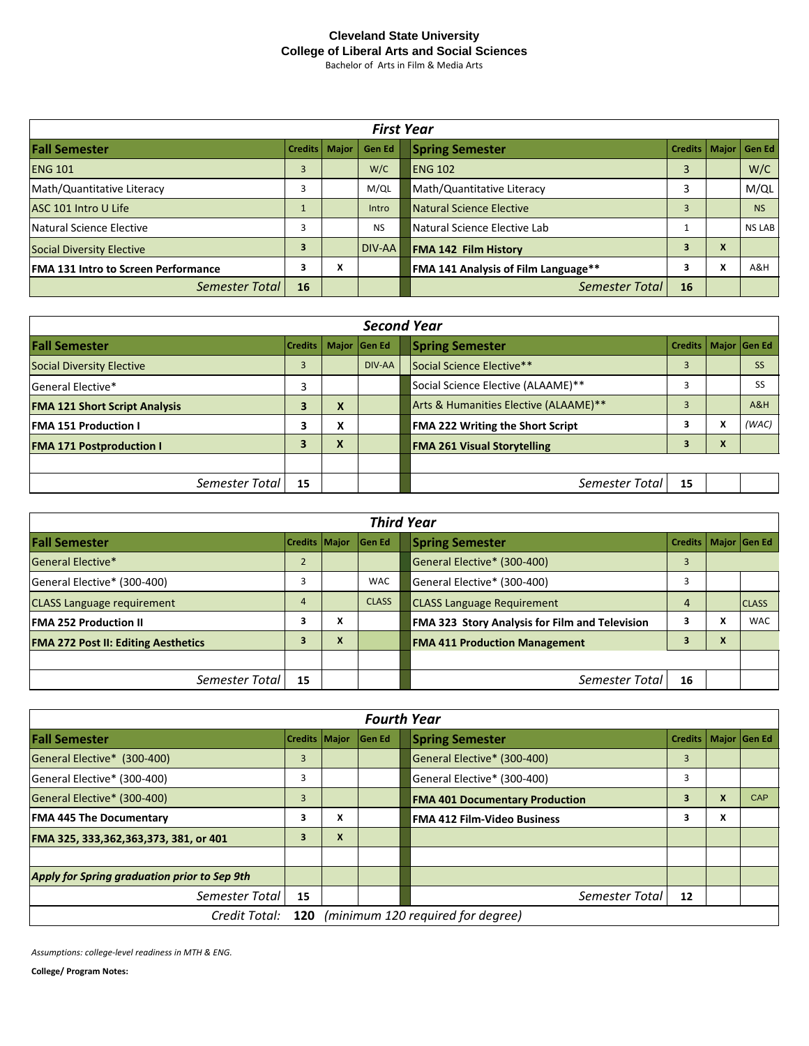## **Cleveland State University College of Liberal Arts and Social Sciences**

Bachelor of Arts in Film & Media Arts

| <b>First Year</b>                          |                |                   |           |                                                 |   |                |
|--------------------------------------------|----------------|-------------------|-----------|-------------------------------------------------|---|----------------|
| <b>Fall Semester</b>                       | <b>Credits</b> | <b>Major</b>      | Gen Ed    | <b>Spring Semester</b><br><b>Credits</b>        |   | Major   Gen Ed |
| <b>ENG 101</b>                             | 3              |                   | W/C       | 3<br><b>ENG 102</b>                             |   | W/C            |
| Math/Quantitative Literacy                 |                |                   | M/QL      | Math/Quantitative Literacy                      |   | M/QL           |
| ASC 101 Intro U Life                       |                |                   | Intro     | <b>Natural Science Elective</b><br>3            |   | <b>NS</b>      |
| Natural Science Elective                   |                |                   | <b>NS</b> | Natural Science Elective Lab                    |   | <b>NS LAB</b>  |
| Social Diversity Elective                  | 3              |                   | DIV-AA    | 3<br><b>FMA 142 Film History</b>                | X |                |
| <b>FMA 131 Intro to Screen Performance</b> | 3              | $\mathbf{v}$<br>^ |           | 3<br><b>FMA 141 Analysis of Film Language**</b> | X | A&H            |
| Semester Total                             | 16             |                   |           | Semester Total<br>16                            |   |                |

| <b>Second Year</b>                   |                          |        |        |                                       |                        |   |           |
|--------------------------------------|--------------------------|--------|--------|---------------------------------------|------------------------|---|-----------|
| <b>Fall Semester</b>                 | Credits   Major   Gen Ed |        |        | <b>Spring Semester</b>                | Credits   Major Gen Ed |   |           |
| Social Diversity Elective            | 3                        |        | DIV-AA | Social Science Elective**             | 3                      |   | <b>SS</b> |
| General Elective*                    | 3                        |        |        | Social Science Elective (ALAAME)**    |                        |   | <b>SS</b> |
| <b>FMA 121 Short Script Analysis</b> | 3                        | X      |        | Arts & Humanities Elective (ALAAME)** | 3                      |   | A&H       |
| <b>FMA 151 Production I</b>          | 3                        | v<br>^ |        | FMA 222 Writing the Short Script      | 3                      | x | (WAC)     |
| <b>FMA 171 Postproduction I</b>      | 3                        | X      |        | <b>FMA 261 Visual Storytelling</b>    | 3                      | X |           |
|                                      |                          |        |        |                                       |                        |   |           |
| Semester Total                       | 15                       |        |        | Semester Total                        | 15                     |   |           |

| <b>Third Year</b>                          |                      |        |               |                                                |    |                                           |                        |
|--------------------------------------------|----------------------|--------|---------------|------------------------------------------------|----|-------------------------------------------|------------------------|
| <b>Fall Semester</b>                       | <b>Credits Maior</b> |        | <b>Gen Ed</b> | <b>Spring Semester</b>                         |    |                                           | Credits   Major Gen Ed |
| <b>General Elective*</b>                   | $\overline{2}$       |        |               | General Elective* (300-400)                    | 3  |                                           |                        |
| General Elective* (300-400)                |                      |        | <b>WAC</b>    | General Elective* (300-400)                    | 3  |                                           |                        |
| <b>CLASS Language requirement</b>          | 4                    |        | <b>CLASS</b>  | <b>CLASS Language Requirement</b>              | 4  |                                           | <b>ICLASS</b>          |
| <b>FMA 252 Production II</b>               | з                    | v<br>^ |               | FMA 323 Story Analysis for Film and Television | 3  | $\mathbf{v}$<br>$\boldsymbol{\mathsf{r}}$ | <b>WAC</b>             |
| <b>FMA 272 Post II: Editing Aesthetics</b> |                      | X      |               | <b>FMA 411 Production Management</b>           |    | $\mathbf{v}$<br>$\boldsymbol{\Lambda}$    |                        |
|                                            |                      |        |               |                                                |    |                                           |                        |
| Semester Total                             | 15                   |        |               | Semester Total                                 | 16 |                                           |                        |

| <b>Fourth Year</b>                                  |                      |        |               |  |                                       |                        |   |            |
|-----------------------------------------------------|----------------------|--------|---------------|--|---------------------------------------|------------------------|---|------------|
| <b>Fall Semester</b>                                | <b>Credits Major</b> |        | <b>Gen Ed</b> |  | <b>Spring Semester</b>                | Credits   Major Gen Ed |   |            |
| General Elective* (300-400)                         | 3                    |        |               |  | General Elective* (300-400)           | 3                      |   |            |
| General Elective* (300-400)                         |                      |        |               |  | General Elective* (300-400)           | 3                      |   |            |
| General Elective* (300-400)                         | 3                    |        |               |  | <b>FMA 401 Documentary Production</b> | 3                      | X | <b>CAP</b> |
| <b>FMA 445 The Documentary</b>                      | 3                    | v<br>^ |               |  | <b>FMA 412 Film-Video Business</b>    | 3                      | x |            |
| FMA 325, 333, 362, 363, 373, 381, or 401            | 3                    | X      |               |  |                                       |                        |   |            |
|                                                     |                      |        |               |  |                                       |                        |   |            |
| Apply for Spring graduation prior to Sep 9th        |                      |        |               |  |                                       |                        |   |            |
| Semester Total                                      | 15                   |        |               |  | Semester Total                        | 12                     |   |            |
| Credit Total: 120 (minimum 120 required for degree) |                      |        |               |  |                                       |                        |   |            |

*Assumptions: college-level readiness in MTH & ENG.*

**College/ Program Notes:**